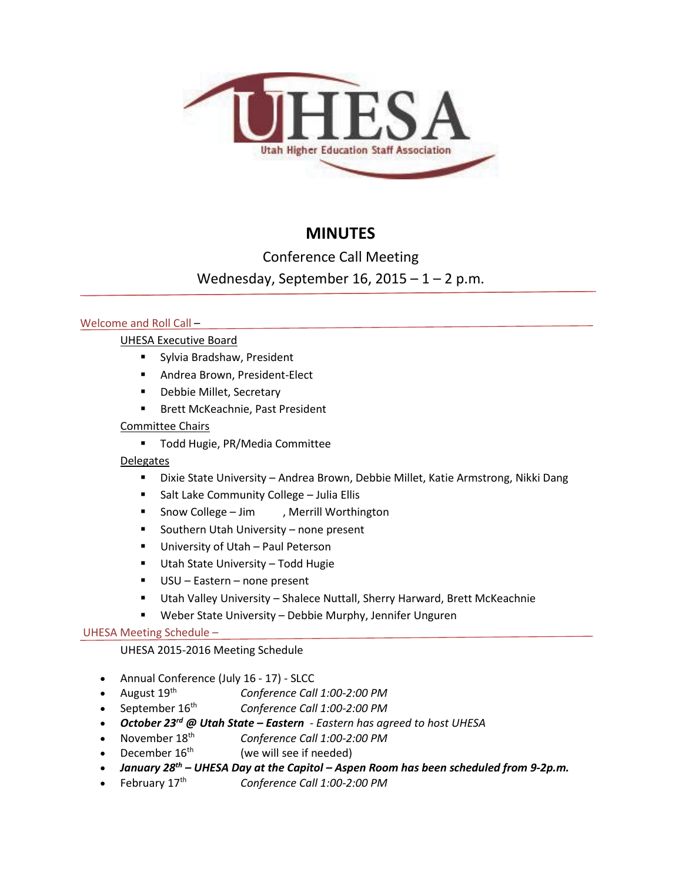

# **MINUTES**

## Conference Call Meeting

## Wednesday, September 16,  $2015 - 1 - 2$  p.m.

## Welcome and Roll Call –

## UHESA Executive Board

- **Sylvia Bradshaw, President**
- **Andrea Brown, President-Elect**
- **-** Debbie Millet, Secretary
- **Brett McKeachnie, Past President**

## Committee Chairs

**Todd Hugie, PR/Media Committee** 

## **Delegates**

- Dixie State University Andrea Brown, Debbie Millet, Katie Armstrong, Nikki Dang
- **Salt Lake Community College Julia Ellis**
- **Snow College Jim , Merrill Worthington**
- **Southern Utah University none present**
- **University of Utah Paul Peterson**
- **Utah State University Todd Hugie**
- USU Eastern none present
- Utah Valley University Shalece Nuttall, Sherry Harward, Brett McKeachnie
- Weber State University Debbie Murphy, Jennifer Unguren

## UHESA Meeting Schedule –

## UHESA 2015-2016 Meeting Schedule

- Annual Conference (July 16 17) SLCC
- August 19th *Conference Call 1:00-2:00 PM*
- September 16th *Conference Call 1:00-2:00 PM*
- *October 23rd @ Utah State – Eastern - Eastern has agreed to host UHESA*
- November 18th *Conference Call 1:00-2:00 PM*
- December  $16<sup>th</sup>$  (we will see if needed)
- *January 28th – UHESA Day at the Capitol – Aspen Room has been scheduled from 9-2p.m.*
- February 17th *Conference Call 1:00-2:00 PM*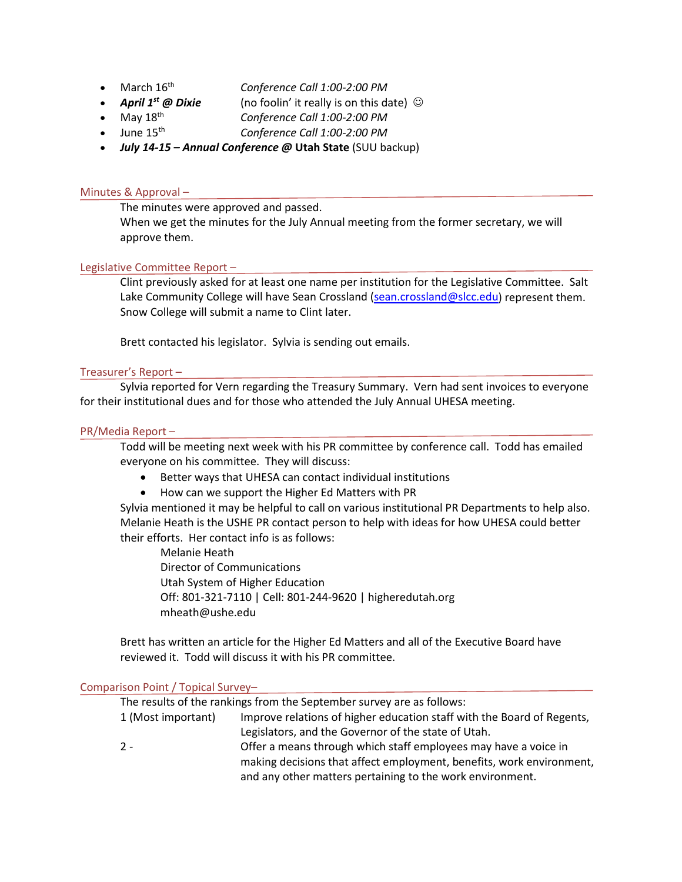- March 16<sup>th</sup> *Conference Call 1:00-2:00 PM*<br>• **April 1<sup>st</sup> @ Dixie** (no foolin' it really is on this da
- 
- **• April 1st @ Dixie** (no foolin' it really is on this date) ©<br>• May 18<sup>th</sup> *Conference Call 1:00-2:00 PM* Conference Call 1:00-2:00 PM
- June 15th *Conference Call 1:00-2:00 PM*
- *July 14-15 – Annual Conference @* **Utah State** (SUU backup)

### Minutes & Approval –

The minutes were approved and passed.

When we get the minutes for the July Annual meeting from the former secretary, we will approve them.

#### Legislative Committee Report –

Clint previously asked for at least one name per institution for the Legislative Committee. Salt Lake Community College will have Sean Crossland [\(sean.crossland@slcc.edu\)](mailto:sean.crossland@slcc.edu) represent them. Snow College will submit a name to Clint later.

Brett contacted his legislator. Sylvia is sending out emails.

#### Treasurer's Report –

Sylvia reported for Vern regarding the Treasury Summary. Vern had sent invoices to everyone for their institutional dues and for those who attended the July Annual UHESA meeting.

#### PR/Media Report –

Todd will be meeting next week with his PR committee by conference call. Todd has emailed everyone on his committee. They will discuss:

- Better ways that UHESA can contact individual institutions
- How can we support the Higher Ed Matters with PR

Sylvia mentioned it may be helpful to call on various institutional PR Departments to help also. Melanie Heath is the USHE PR contact person to help with ideas for how UHESA could better their efforts. Her contact info is as follows:

Melanie Heath Director of Communications Utah System of Higher Education Off: 801-321-7110 | Cell: 801-244-9620 | higheredutah.org mheath@ushe.edu

Brett has written an article for the Higher Ed Matters and all of the Executive Board have reviewed it. Todd will discuss it with his PR committee.

#### Comparison Point / Topical Survey–

The results of the rankings from the September survey are as follows:

| 1 (Most important) | Improve relations of higher education staff with the Board of Regents, |
|--------------------|------------------------------------------------------------------------|
|                    | Legislators, and the Governor of the state of Utah.                    |
| $2 -$              | Offer a means through which staff employees may have a voice in        |
|                    | making decisions that affect employment, benefits, work environment,   |

and any other matters pertaining to the work environment.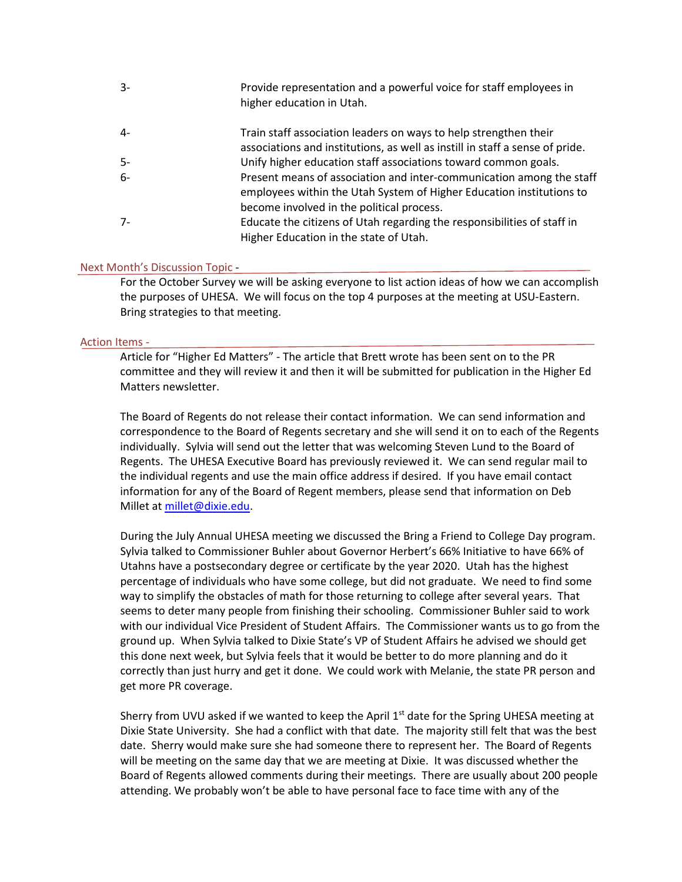| $3-$  | Provide representation and a powerful voice for staff employees in<br>higher education in Utah.                                              |
|-------|----------------------------------------------------------------------------------------------------------------------------------------------|
| $4-$  | Train staff association leaders on ways to help strengthen their                                                                             |
|       | associations and institutions, as well as instill in staff a sense of pride.                                                                 |
| $5-$  | Unify higher education staff associations toward common goals.                                                                               |
| $6-$  | Present means of association and inter-communication among the staff<br>employees within the Utah System of Higher Education institutions to |
|       | become involved in the political process.                                                                                                    |
| $7 -$ | Educate the citizens of Utah regarding the responsibilities of staff in                                                                      |
|       | Higher Education in the state of Utah.                                                                                                       |

#### Next Month's Discussion Topic -

For the October Survey we will be asking everyone to list action ideas of how we can accomplish the purposes of UHESA. We will focus on the top 4 purposes at the meeting at USU-Eastern. Bring strategies to that meeting.

#### Action Items -

Article for "Higher Ed Matters" - The article that Brett wrote has been sent on to the PR committee and they will review it and then it will be submitted for publication in the Higher Ed Matters newsletter.

The Board of Regents do not release their contact information. We can send information and correspondence to the Board of Regents secretary and she will send it on to each of the Regents individually. Sylvia will send out the letter that was welcoming Steven Lund to the Board of Regents. The UHESA Executive Board has previously reviewed it. We can send regular mail to the individual regents and use the main office address if desired. If you have email contact information for any of the Board of Regent members, please send that information on Deb Millet at [millet@dixie.edu.](mailto:millet@dixie.edu)

During the July Annual UHESA meeting we discussed the Bring a Friend to College Day program. Sylvia talked to Commissioner Buhler about Governor Herbert's 66% Initiative to have 66% of Utahns have a postsecondary degree or certificate by the year 2020. Utah has the highest percentage of individuals who have some college, but did not graduate. We need to find some way to simplify the obstacles of math for those returning to college after several years. That seems to deter many people from finishing their schooling. Commissioner Buhler said to work with our individual Vice President of Student Affairs. The Commissioner wants us to go from the ground up. When Sylvia talked to Dixie State's VP of Student Affairs he advised we should get this done next week, but Sylvia feels that it would be better to do more planning and do it correctly than just hurry and get it done. We could work with Melanie, the state PR person and get more PR coverage.

Sherry from UVU asked if we wanted to keep the April 1<sup>st</sup> date for the Spring UHESA meeting at Dixie State University. She had a conflict with that date. The majority still felt that was the best date. Sherry would make sure she had someone there to represent her. The Board of Regents will be meeting on the same day that we are meeting at Dixie. It was discussed whether the Board of Regents allowed comments during their meetings. There are usually about 200 people attending. We probably won't be able to have personal face to face time with any of the